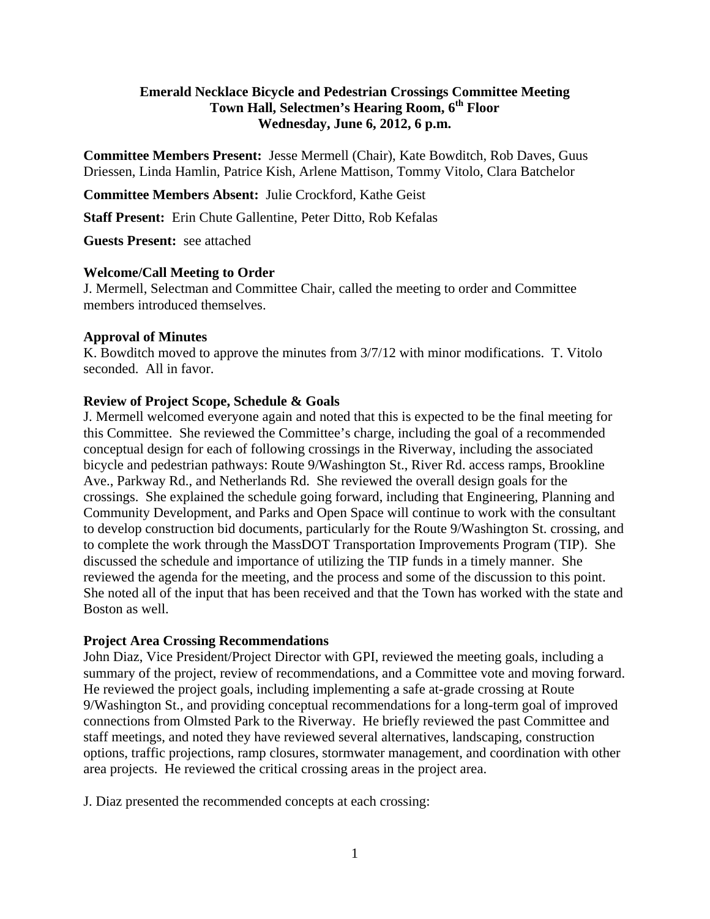# **Emerald Necklace Bicycle and Pedestrian Crossings Committee Meeting Town Hall, Selectmen's Hearing Room, 6th Floor Wednesday, June 6, 2012, 6 p.m.**

**Committee Members Present:** Jesse Mermell (Chair), Kate Bowditch, Rob Daves, Guus Driessen, Linda Hamlin, Patrice Kish, Arlene Mattison, Tommy Vitolo, Clara Batchelor

**Committee Members Absent:** Julie Crockford, Kathe Geist

**Staff Present:** Erin Chute Gallentine, Peter Ditto, Rob Kefalas

**Guests Present:** see attached

#### **Welcome/Call Meeting to Order**

J. Mermell, Selectman and Committee Chair, called the meeting to order and Committee members introduced themselves.

#### **Approval of Minutes**

K. Bowditch moved to approve the minutes from 3/7/12 with minor modifications. T. Vitolo seconded. All in favor.

#### **Review of Project Scope, Schedule & Goals**

J. Mermell welcomed everyone again and noted that this is expected to be the final meeting for this Committee. She reviewed the Committee's charge, including the goal of a recommended conceptual design for each of following crossings in the Riverway, including the associated bicycle and pedestrian pathways: Route 9/Washington St., River Rd. access ramps, Brookline Ave., Parkway Rd., and Netherlands Rd. She reviewed the overall design goals for the crossings. She explained the schedule going forward, including that Engineering, Planning and Community Development, and Parks and Open Space will continue to work with the consultant to develop construction bid documents, particularly for the Route 9/Washington St. crossing, and to complete the work through the MassDOT Transportation Improvements Program (TIP). She discussed the schedule and importance of utilizing the TIP funds in a timely manner. She reviewed the agenda for the meeting, and the process and some of the discussion to this point. She noted all of the input that has been received and that the Town has worked with the state and Boston as well.

## **Project Area Crossing Recommendations**

John Diaz, Vice President/Project Director with GPI, reviewed the meeting goals, including a summary of the project, review of recommendations, and a Committee vote and moving forward. He reviewed the project goals, including implementing a safe at-grade crossing at Route 9/Washington St., and providing conceptual recommendations for a long-term goal of improved connections from Olmsted Park to the Riverway. He briefly reviewed the past Committee and staff meetings, and noted they have reviewed several alternatives, landscaping, construction options, traffic projections, ramp closures, stormwater management, and coordination with other area projects. He reviewed the critical crossing areas in the project area.

J. Diaz presented the recommended concepts at each crossing: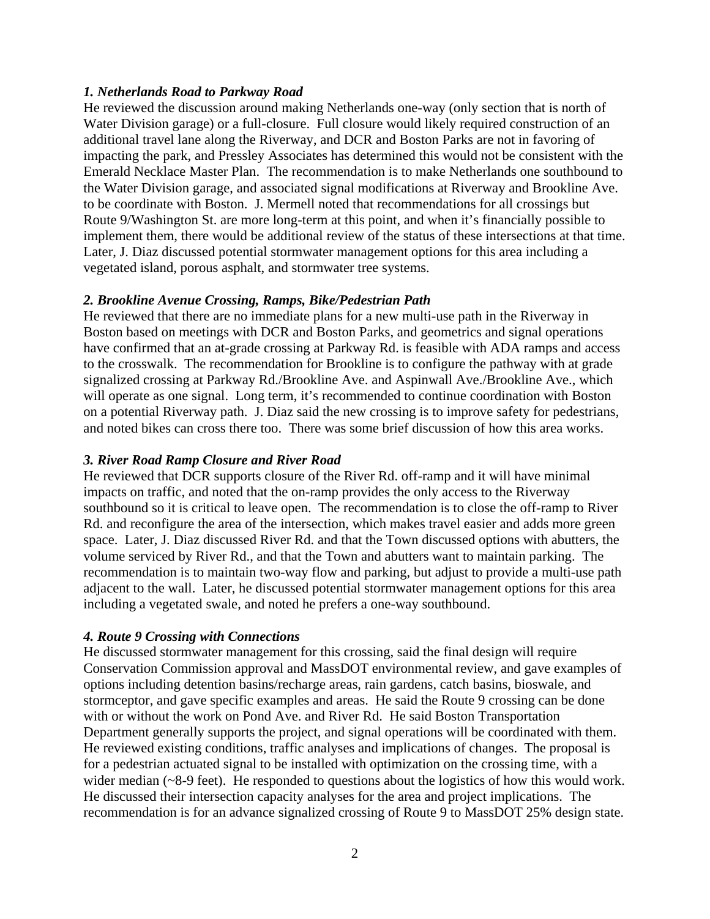## *1. Netherlands Road to Parkway Road*

He reviewed the discussion around making Netherlands one-way (only section that is north of Water Division garage) or a full-closure. Full closure would likely required construction of an additional travel lane along the Riverway, and DCR and Boston Parks are not in favoring of impacting the park, and Pressley Associates has determined this would not be consistent with the Emerald Necklace Master Plan. The recommendation is to make Netherlands one southbound to the Water Division garage, and associated signal modifications at Riverway and Brookline Ave. to be coordinate with Boston. J. Mermell noted that recommendations for all crossings but Route 9/Washington St. are more long-term at this point, and when it's financially possible to implement them, there would be additional review of the status of these intersections at that time. Later, J. Diaz discussed potential stormwater management options for this area including a vegetated island, porous asphalt, and stormwater tree systems.

# *2. Brookline Avenue Crossing, Ramps, Bike/Pedestrian Path*

He reviewed that there are no immediate plans for a new multi-use path in the Riverway in Boston based on meetings with DCR and Boston Parks, and geometrics and signal operations have confirmed that an at-grade crossing at Parkway Rd. is feasible with ADA ramps and access to the crosswalk. The recommendation for Brookline is to configure the pathway with at grade signalized crossing at Parkway Rd./Brookline Ave. and Aspinwall Ave./Brookline Ave., which will operate as one signal. Long term, it's recommended to continue coordination with Boston on a potential Riverway path. J. Diaz said the new crossing is to improve safety for pedestrians, and noted bikes can cross there too. There was some brief discussion of how this area works.

# *3. River Road Ramp Closure and River Road*

He reviewed that DCR supports closure of the River Rd. off-ramp and it will have minimal impacts on traffic, and noted that the on-ramp provides the only access to the Riverway southbound so it is critical to leave open. The recommendation is to close the off-ramp to River Rd. and reconfigure the area of the intersection, which makes travel easier and adds more green space. Later, J. Diaz discussed River Rd. and that the Town discussed options with abutters, the volume serviced by River Rd., and that the Town and abutters want to maintain parking. The recommendation is to maintain two-way flow and parking, but adjust to provide a multi-use path adjacent to the wall. Later, he discussed potential stormwater management options for this area including a vegetated swale, and noted he prefers a one-way southbound.

## *4. Route 9 Crossing with Connections*

He discussed stormwater management for this crossing, said the final design will require Conservation Commission approval and MassDOT environmental review, and gave examples of options including detention basins/recharge areas, rain gardens, catch basins, bioswale, and stormceptor, and gave specific examples and areas. He said the Route 9 crossing can be done with or without the work on Pond Ave. and River Rd. He said Boston Transportation Department generally supports the project, and signal operations will be coordinated with them. He reviewed existing conditions, traffic analyses and implications of changes. The proposal is for a pedestrian actuated signal to be installed with optimization on the crossing time, with a wider median (~8-9 feet). He responded to questions about the logistics of how this would work. He discussed their intersection capacity analyses for the area and project implications. The recommendation is for an advance signalized crossing of Route 9 to MassDOT 25% design state.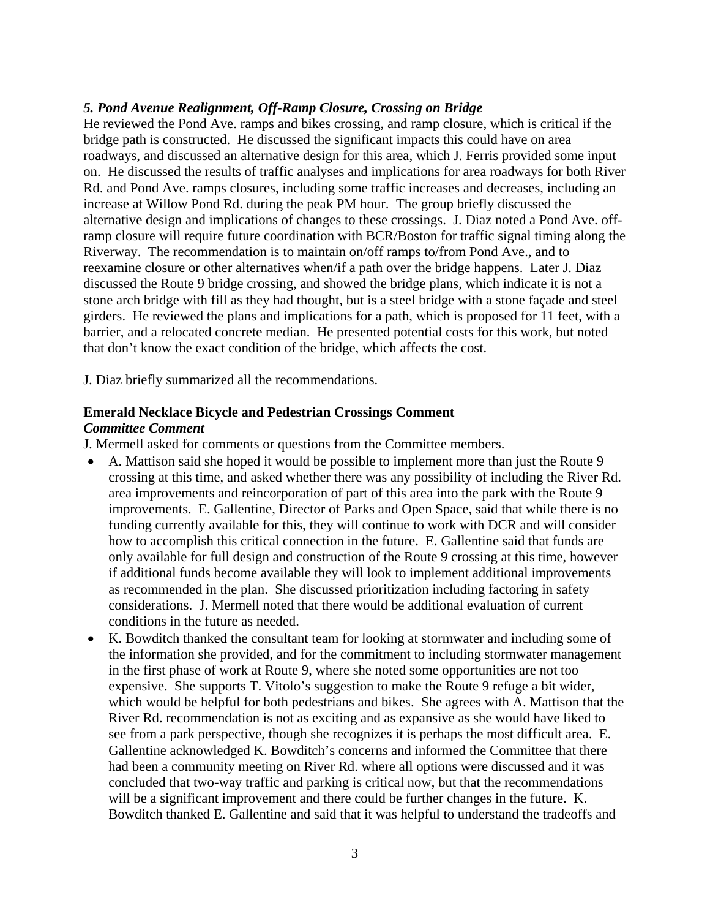## *5. Pond Avenue Realignment, Off-Ramp Closure, Crossing on Bridge*

He reviewed the Pond Ave. ramps and bikes crossing, and ramp closure, which is critical if the bridge path is constructed. He discussed the significant impacts this could have on area roadways, and discussed an alternative design for this area, which J. Ferris provided some input on. He discussed the results of traffic analyses and implications for area roadways for both River Rd. and Pond Ave. ramps closures, including some traffic increases and decreases, including an increase at Willow Pond Rd. during the peak PM hour. The group briefly discussed the alternative design and implications of changes to these crossings. J. Diaz noted a Pond Ave. offramp closure will require future coordination with BCR/Boston for traffic signal timing along the Riverway. The recommendation is to maintain on/off ramps to/from Pond Ave., and to reexamine closure or other alternatives when/if a path over the bridge happens. Later J. Diaz discussed the Route 9 bridge crossing, and showed the bridge plans, which indicate it is not a stone arch bridge with fill as they had thought, but is a steel bridge with a stone façade and steel girders. He reviewed the plans and implications for a path, which is proposed for 11 feet, with a barrier, and a relocated concrete median. He presented potential costs for this work, but noted that don't know the exact condition of the bridge, which affects the cost.

J. Diaz briefly summarized all the recommendations.

## **Emerald Necklace Bicycle and Pedestrian Crossings Comment**  *Committee Comment*

J. Mermell asked for comments or questions from the Committee members.

- A. Mattison said she hoped it would be possible to implement more than just the Route 9 crossing at this time, and asked whether there was any possibility of including the River Rd. area improvements and reincorporation of part of this area into the park with the Route 9 improvements. E. Gallentine, Director of Parks and Open Space, said that while there is no funding currently available for this, they will continue to work with DCR and will consider how to accomplish this critical connection in the future. E. Gallentine said that funds are only available for full design and construction of the Route 9 crossing at this time, however if additional funds become available they will look to implement additional improvements as recommended in the plan. She discussed prioritization including factoring in safety considerations. J. Mermell noted that there would be additional evaluation of current conditions in the future as needed.
- K. Bowditch thanked the consultant team for looking at stormwater and including some of the information she provided, and for the commitment to including stormwater management in the first phase of work at Route 9, where she noted some opportunities are not too expensive. She supports T. Vitolo's suggestion to make the Route 9 refuge a bit wider, which would be helpful for both pedestrians and bikes. She agrees with A. Mattison that the River Rd. recommendation is not as exciting and as expansive as she would have liked to see from a park perspective, though she recognizes it is perhaps the most difficult area. E. Gallentine acknowledged K. Bowditch's concerns and informed the Committee that there had been a community meeting on River Rd. where all options were discussed and it was concluded that two-way traffic and parking is critical now, but that the recommendations will be a significant improvement and there could be further changes in the future. K. Bowditch thanked E. Gallentine and said that it was helpful to understand the tradeoffs and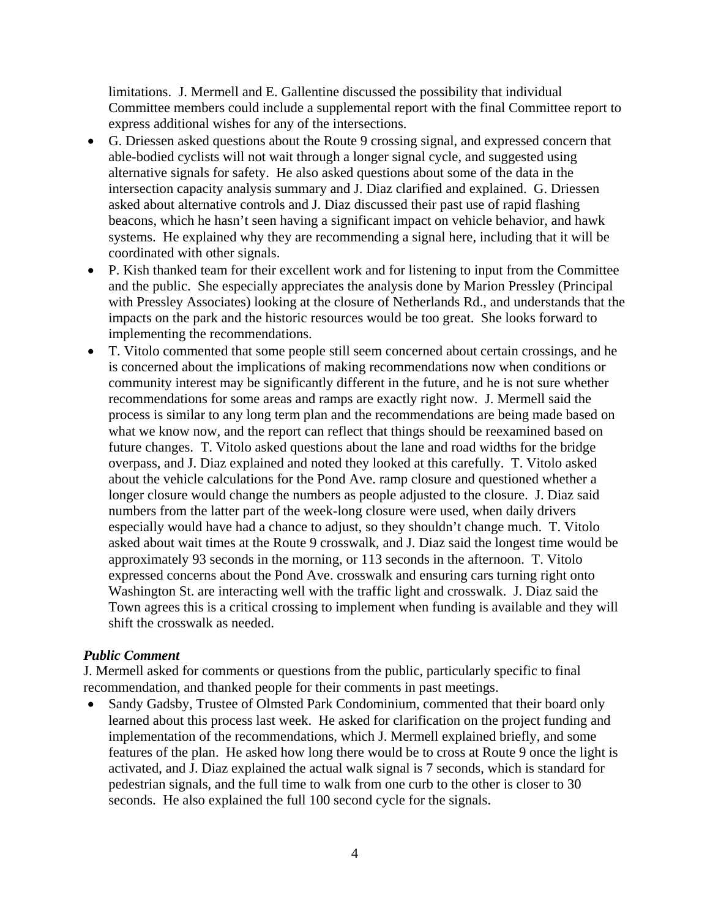limitations. J. Mermell and E. Gallentine discussed the possibility that individual Committee members could include a supplemental report with the final Committee report to express additional wishes for any of the intersections.

- G. Driessen asked questions about the Route 9 crossing signal, and expressed concern that able-bodied cyclists will not wait through a longer signal cycle, and suggested using alternative signals for safety. He also asked questions about some of the data in the intersection capacity analysis summary and J. Diaz clarified and explained. G. Driessen asked about alternative controls and J. Diaz discussed their past use of rapid flashing beacons, which he hasn't seen having a significant impact on vehicle behavior, and hawk systems. He explained why they are recommending a signal here, including that it will be coordinated with other signals.
- P. Kish thanked team for their excellent work and for listening to input from the Committee and the public. She especially appreciates the analysis done by Marion Pressley (Principal with Pressley Associates) looking at the closure of Netherlands Rd., and understands that the impacts on the park and the historic resources would be too great. She looks forward to implementing the recommendations.
- T. Vitolo commented that some people still seem concerned about certain crossings, and he is concerned about the implications of making recommendations now when conditions or community interest may be significantly different in the future, and he is not sure whether recommendations for some areas and ramps are exactly right now. J. Mermell said the process is similar to any long term plan and the recommendations are being made based on what we know now, and the report can reflect that things should be reexamined based on future changes. T. Vitolo asked questions about the lane and road widths for the bridge overpass, and J. Diaz explained and noted they looked at this carefully. T. Vitolo asked about the vehicle calculations for the Pond Ave. ramp closure and questioned whether a longer closure would change the numbers as people adjusted to the closure. J. Diaz said numbers from the latter part of the week-long closure were used, when daily drivers especially would have had a chance to adjust, so they shouldn't change much. T. Vitolo asked about wait times at the Route 9 crosswalk, and J. Diaz said the longest time would be approximately 93 seconds in the morning, or 113 seconds in the afternoon. T. Vitolo expressed concerns about the Pond Ave. crosswalk and ensuring cars turning right onto Washington St. are interacting well with the traffic light and crosswalk. J. Diaz said the Town agrees this is a critical crossing to implement when funding is available and they will shift the crosswalk as needed.

## *Public Comment*

J. Mermell asked for comments or questions from the public, particularly specific to final recommendation, and thanked people for their comments in past meetings.

• Sandy Gadsby, Trustee of Olmsted Park Condominium, commented that their board only learned about this process last week. He asked for clarification on the project funding and implementation of the recommendations, which J. Mermell explained briefly, and some features of the plan. He asked how long there would be to cross at Route 9 once the light is activated, and J. Diaz explained the actual walk signal is 7 seconds, which is standard for pedestrian signals, and the full time to walk from one curb to the other is closer to 30 seconds. He also explained the full 100 second cycle for the signals.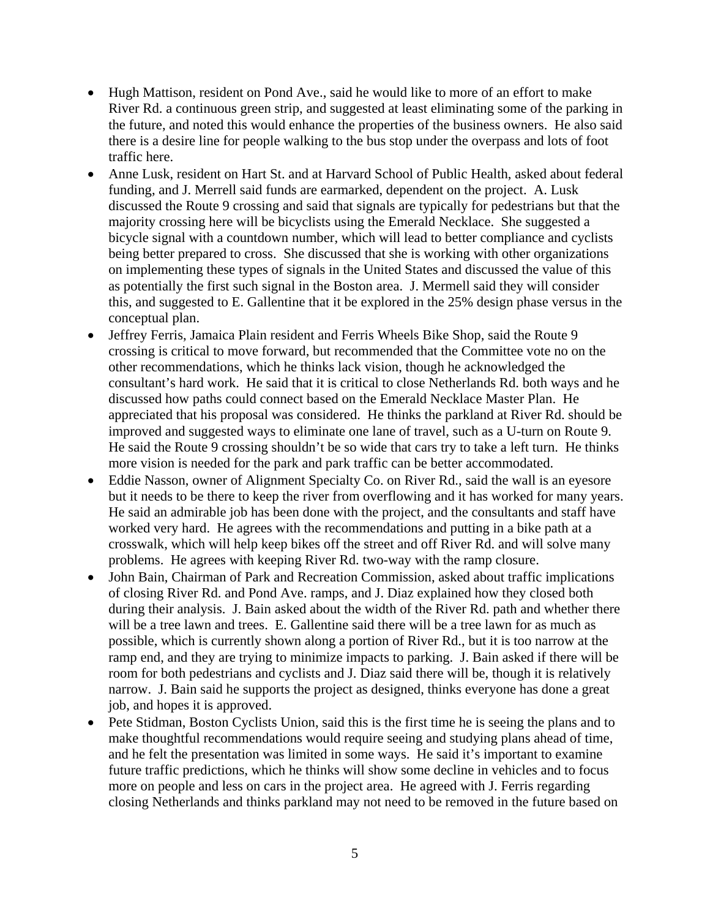- Hugh Mattison, resident on Pond Ave., said he would like to more of an effort to make River Rd. a continuous green strip, and suggested at least eliminating some of the parking in the future, and noted this would enhance the properties of the business owners. He also said there is a desire line for people walking to the bus stop under the overpass and lots of foot traffic here.
- Anne Lusk, resident on Hart St. and at Harvard School of Public Health, asked about federal funding, and J. Merrell said funds are earmarked, dependent on the project. A. Lusk discussed the Route 9 crossing and said that signals are typically for pedestrians but that the majority crossing here will be bicyclists using the Emerald Necklace. She suggested a bicycle signal with a countdown number, which will lead to better compliance and cyclists being better prepared to cross. She discussed that she is working with other organizations on implementing these types of signals in the United States and discussed the value of this as potentially the first such signal in the Boston area. J. Mermell said they will consider this, and suggested to E. Gallentine that it be explored in the 25% design phase versus in the conceptual plan.
- Jeffrey Ferris, Jamaica Plain resident and Ferris Wheels Bike Shop, said the Route 9 crossing is critical to move forward, but recommended that the Committee vote no on the other recommendations, which he thinks lack vision, though he acknowledged the consultant's hard work. He said that it is critical to close Netherlands Rd. both ways and he discussed how paths could connect based on the Emerald Necklace Master Plan. He appreciated that his proposal was considered. He thinks the parkland at River Rd. should be improved and suggested ways to eliminate one lane of travel, such as a U-turn on Route 9. He said the Route 9 crossing shouldn't be so wide that cars try to take a left turn. He thinks more vision is needed for the park and park traffic can be better accommodated.
- Eddie Nasson, owner of Alignment Specialty Co. on River Rd., said the wall is an eyesore but it needs to be there to keep the river from overflowing and it has worked for many years. He said an admirable job has been done with the project, and the consultants and staff have worked very hard. He agrees with the recommendations and putting in a bike path at a crosswalk, which will help keep bikes off the street and off River Rd. and will solve many problems. He agrees with keeping River Rd. two-way with the ramp closure.
- John Bain, Chairman of Park and Recreation Commission, asked about traffic implications of closing River Rd. and Pond Ave. ramps, and J. Diaz explained how they closed both during their analysis. J. Bain asked about the width of the River Rd. path and whether there will be a tree lawn and trees. E. Gallentine said there will be a tree lawn for as much as possible, which is currently shown along a portion of River Rd., but it is too narrow at the ramp end, and they are trying to minimize impacts to parking. J. Bain asked if there will be room for both pedestrians and cyclists and J. Diaz said there will be, though it is relatively narrow. J. Bain said he supports the project as designed, thinks everyone has done a great job, and hopes it is approved.
- Pete Stidman, Boston Cyclists Union, said this is the first time he is seeing the plans and to make thoughtful recommendations would require seeing and studying plans ahead of time, and he felt the presentation was limited in some ways. He said it's important to examine future traffic predictions, which he thinks will show some decline in vehicles and to focus more on people and less on cars in the project area. He agreed with J. Ferris regarding closing Netherlands and thinks parkland may not need to be removed in the future based on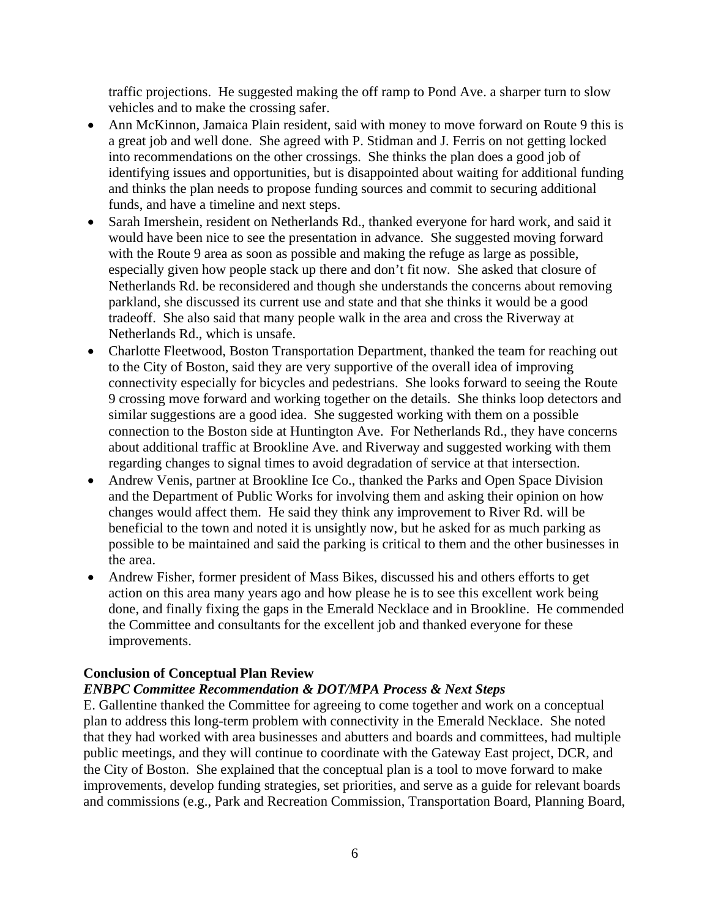traffic projections. He suggested making the off ramp to Pond Ave. a sharper turn to slow vehicles and to make the crossing safer.

- Ann McKinnon, Jamaica Plain resident, said with money to move forward on Route 9 this is a great job and well done. She agreed with P. Stidman and J. Ferris on not getting locked into recommendations on the other crossings. She thinks the plan does a good job of identifying issues and opportunities, but is disappointed about waiting for additional funding and thinks the plan needs to propose funding sources and commit to securing additional funds, and have a timeline and next steps.
- Sarah Imershein, resident on Netherlands Rd., thanked everyone for hard work, and said it would have been nice to see the presentation in advance. She suggested moving forward with the Route 9 area as soon as possible and making the refuge as large as possible, especially given how people stack up there and don't fit now. She asked that closure of Netherlands Rd. be reconsidered and though she understands the concerns about removing parkland, she discussed its current use and state and that she thinks it would be a good tradeoff. She also said that many people walk in the area and cross the Riverway at Netherlands Rd., which is unsafe.
- Charlotte Fleetwood, Boston Transportation Department, thanked the team for reaching out to the City of Boston, said they are very supportive of the overall idea of improving connectivity especially for bicycles and pedestrians. She looks forward to seeing the Route 9 crossing move forward and working together on the details. She thinks loop detectors and similar suggestions are a good idea. She suggested working with them on a possible connection to the Boston side at Huntington Ave. For Netherlands Rd., they have concerns about additional traffic at Brookline Ave. and Riverway and suggested working with them regarding changes to signal times to avoid degradation of service at that intersection.
- Andrew Venis, partner at Brookline Ice Co., thanked the Parks and Open Space Division and the Department of Public Works for involving them and asking their opinion on how changes would affect them. He said they think any improvement to River Rd. will be beneficial to the town and noted it is unsightly now, but he asked for as much parking as possible to be maintained and said the parking is critical to them and the other businesses in the area.
- Andrew Fisher, former president of Mass Bikes, discussed his and others efforts to get action on this area many years ago and how please he is to see this excellent work being done, and finally fixing the gaps in the Emerald Necklace and in Brookline. He commended the Committee and consultants for the excellent job and thanked everyone for these improvements.

# **Conclusion of Conceptual Plan Review**

# *ENBPC Committee Recommendation & DOT/MPA Process & Next Steps*

E. Gallentine thanked the Committee for agreeing to come together and work on a conceptual plan to address this long-term problem with connectivity in the Emerald Necklace. She noted that they had worked with area businesses and abutters and boards and committees, had multiple public meetings, and they will continue to coordinate with the Gateway East project, DCR, and the City of Boston. She explained that the conceptual plan is a tool to move forward to make improvements, develop funding strategies, set priorities, and serve as a guide for relevant boards and commissions (e.g., Park and Recreation Commission, Transportation Board, Planning Board,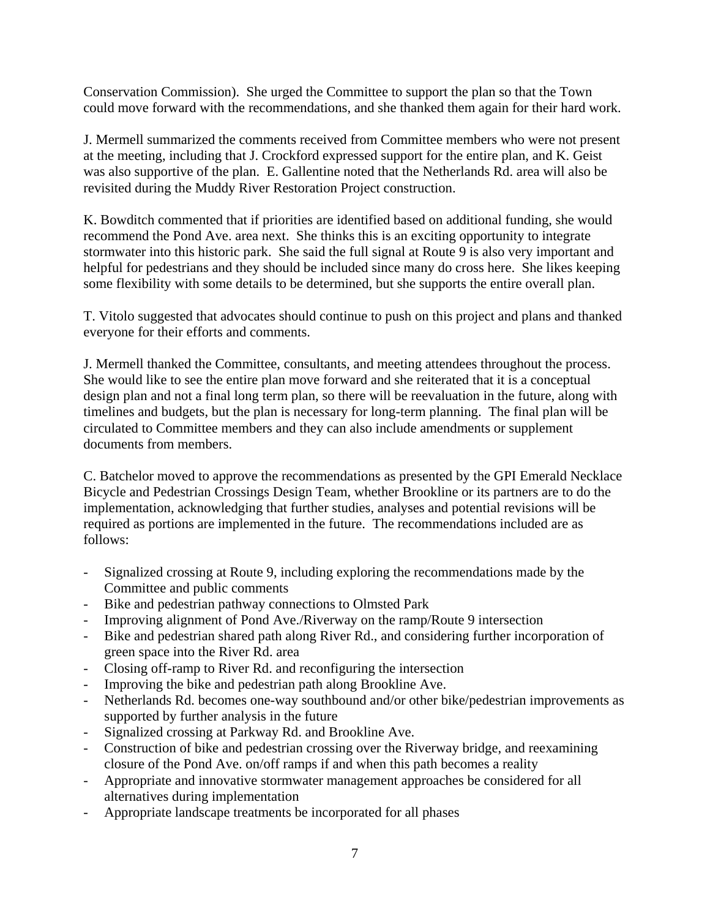Conservation Commission). She urged the Committee to support the plan so that the Town could move forward with the recommendations, and she thanked them again for their hard work.

J. Mermell summarized the comments received from Committee members who were not present at the meeting, including that J. Crockford expressed support for the entire plan, and K. Geist was also supportive of the plan. E. Gallentine noted that the Netherlands Rd. area will also be revisited during the Muddy River Restoration Project construction.

K. Bowditch commented that if priorities are identified based on additional funding, she would recommend the Pond Ave. area next. She thinks this is an exciting opportunity to integrate stormwater into this historic park. She said the full signal at Route 9 is also very important and helpful for pedestrians and they should be included since many do cross here. She likes keeping some flexibility with some details to be determined, but she supports the entire overall plan.

T. Vitolo suggested that advocates should continue to push on this project and plans and thanked everyone for their efforts and comments.

J. Mermell thanked the Committee, consultants, and meeting attendees throughout the process. She would like to see the entire plan move forward and she reiterated that it is a conceptual design plan and not a final long term plan, so there will be reevaluation in the future, along with timelines and budgets, but the plan is necessary for long-term planning. The final plan will be circulated to Committee members and they can also include amendments or supplement documents from members.

C. Batchelor moved to approve the recommendations as presented by the GPI Emerald Necklace Bicycle and Pedestrian Crossings Design Team, whether Brookline or its partners are to do the implementation, acknowledging that further studies, analyses and potential revisions will be required as portions are implemented in the future. The recommendations included are as follows:

- Signalized crossing at Route 9, including exploring the recommendations made by the Committee and public comments
- Bike and pedestrian pathway connections to Olmsted Park
- Improving alignment of Pond Ave./Riverway on the ramp/Route 9 intersection
- Bike and pedestrian shared path along River Rd., and considering further incorporation of green space into the River Rd. area
- Closing off-ramp to River Rd. and reconfiguring the intersection
- Improving the bike and pedestrian path along Brookline Ave.
- Netherlands Rd. becomes one-way southbound and/or other bike/pedestrian improvements as supported by further analysis in the future
- Signalized crossing at Parkway Rd. and Brookline Ave.
- Construction of bike and pedestrian crossing over the Riverway bridge, and reexamining closure of the Pond Ave. on/off ramps if and when this path becomes a reality
- Appropriate and innovative stormwater management approaches be considered for all alternatives during implementation
- Appropriate landscape treatments be incorporated for all phases